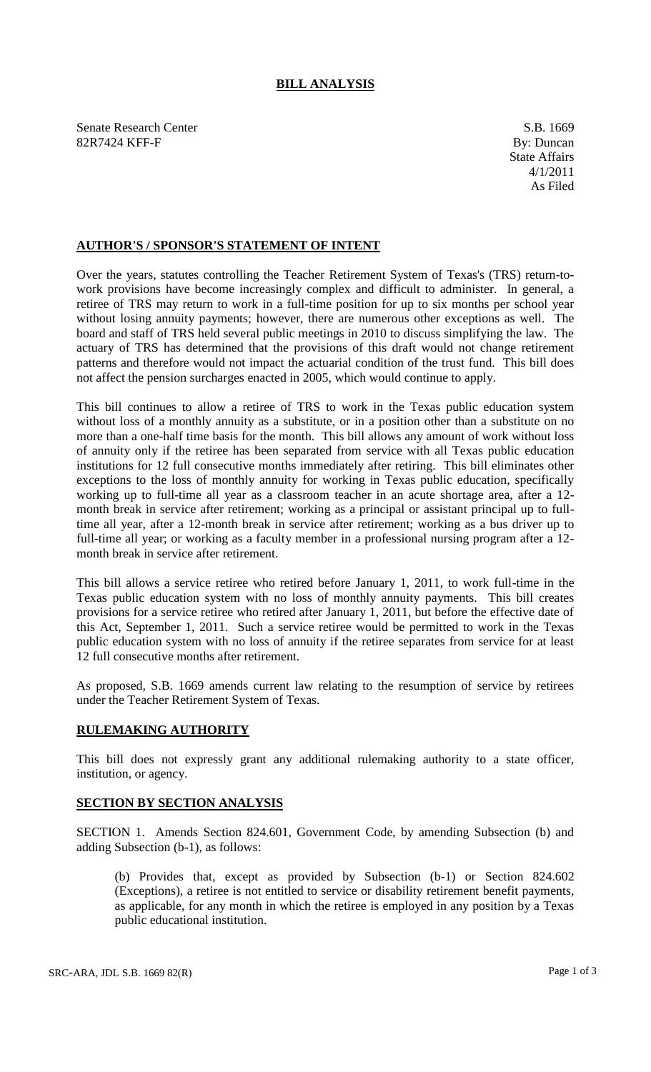## **BILL ANALYSIS**

Senate Research Center S.B. 1669 82R7424 KFF-F By: Duncan

## **AUTHOR'S / SPONSOR'S STATEMENT OF INTENT**

Over the years, statutes controlling the Teacher Retirement System of Texas's (TRS) return-towork provisions have become increasingly complex and difficult to administer. In general, a retiree of TRS may return to work in a full-time position for up to six months per school year without losing annuity payments; however, there are numerous other exceptions as well. The board and staff of TRS held several public meetings in 2010 to discuss simplifying the law. The actuary of TRS has determined that the provisions of this draft would not change retirement patterns and therefore would not impact the actuarial condition of the trust fund. This bill does not affect the pension surcharges enacted in 2005, which would continue to apply.

This bill continues to allow a retiree of TRS to work in the Texas public education system without loss of a monthly annuity as a substitute, or in a position other than a substitute on no more than a one-half time basis for the month. This bill allows any amount of work without loss of annuity only if the retiree has been separated from service with all Texas public education institutions for 12 full consecutive months immediately after retiring. This bill eliminates other exceptions to the loss of monthly annuity for working in Texas public education, specifically working up to full-time all year as a classroom teacher in an acute shortage area, after a 12 month break in service after retirement; working as a principal or assistant principal up to fulltime all year, after a 12-month break in service after retirement; working as a bus driver up to full-time all year; or working as a faculty member in a professional nursing program after a 12 month break in service after retirement.

This bill allows a service retiree who retired before January 1, 2011, to work full-time in the Texas public education system with no loss of monthly annuity payments. This bill creates provisions for a service retiree who retired after January 1, 2011, but before the effective date of this Act, September 1, 2011. Such a service retiree would be permitted to work in the Texas public education system with no loss of annuity if the retiree separates from service for at least 12 full consecutive months after retirement.

As proposed, S.B. 1669 amends current law relating to the resumption of service by retirees under the Teacher Retirement System of Texas.

## **RULEMAKING AUTHORITY**

This bill does not expressly grant any additional rulemaking authority to a state officer, institution, or agency.

## **SECTION BY SECTION ANALYSIS**

SECTION 1. Amends Section 824.601, Government Code, by amending Subsection (b) and adding Subsection (b-1), as follows:

(b) Provides that, except as provided by Subsection (b-1) or Section 824.602 (Exceptions), a retiree is not entitled to service or disability retirement benefit payments, as applicable, for any month in which the retiree is employed in any position by a Texas public educational institution.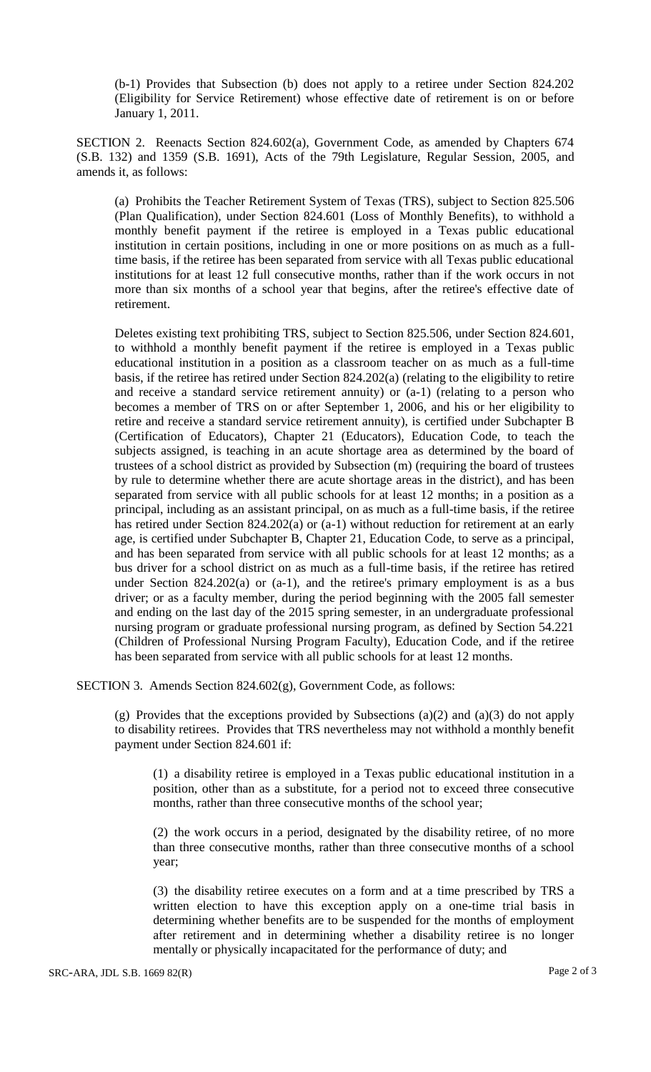(b-1) Provides that Subsection (b) does not apply to a retiree under Section 824.202 (Eligibility for Service Retirement) whose effective date of retirement is on or before January 1, 2011.

SECTION 2. Reenacts Section 824.602(a), Government Code, as amended by Chapters 674 (S.B. 132) and 1359 (S.B. 1691), Acts of the 79th Legislature, Regular Session, 2005, and amends it, as follows:

(a) Prohibits the Teacher Retirement System of Texas (TRS), subject to Section 825.506 (Plan Qualification), under Section 824.601 (Loss of Monthly Benefits), to withhold a monthly benefit payment if the retiree is employed in a Texas public educational institution in certain positions, including in one or more positions on as much as a fulltime basis, if the retiree has been separated from service with all Texas public educational institutions for at least 12 full consecutive months, rather than if the work occurs in not more than six months of a school year that begins, after the retiree's effective date of retirement.

Deletes existing text prohibiting TRS, subject to Section 825.506, under Section 824.601, to withhold a monthly benefit payment if the retiree is employed in a Texas public educational institution in a position as a classroom teacher on as much as a full-time basis, if the retiree has retired under Section 824.202(a) (relating to the eligibility to retire and receive a standard service retirement annuity) or (a-1) (relating to a person who becomes a member of TRS on or after September 1, 2006, and his or her eligibility to retire and receive a standard service retirement annuity), is certified under Subchapter B (Certification of Educators), Chapter 21 (Educators), Education Code, to teach the subjects assigned, is teaching in an acute shortage area as determined by the board of trustees of a school district as provided by Subsection (m) (requiring the board of trustees by rule to determine whether there are acute shortage areas in the district), and has been separated from service with all public schools for at least 12 months; in a position as a principal, including as an assistant principal, on as much as a full-time basis, if the retiree has retired under Section 824.202(a) or (a-1) without reduction for retirement at an early age, is certified under Subchapter B, Chapter 21, Education Code, to serve as a principal, and has been separated from service with all public schools for at least 12 months; as a bus driver for a school district on as much as a full-time basis, if the retiree has retired under Section  $824.202(a)$  or  $(a-1)$ , and the retiree's primary employment is as a bus driver; or as a faculty member, during the period beginning with the 2005 fall semester and ending on the last day of the 2015 spring semester, in an undergraduate professional nursing program or graduate professional nursing program, as defined by Section 54.221 (Children of Professional Nursing Program Faculty), Education Code, and if the retiree has been separated from service with all public schools for at least 12 months.

SECTION 3. Amends Section 824.602(g), Government Code, as follows:

(g) Provides that the exceptions provided by Subsections (a)(2) and (a)(3) do not apply to disability retirees. Provides that TRS nevertheless may not withhold a monthly benefit payment under Section 824.601 if:

(1) a disability retiree is employed in a Texas public educational institution in a position, other than as a substitute, for a period not to exceed three consecutive months, rather than three consecutive months of the school year;

(2) the work occurs in a period, designated by the disability retiree, of no more than three consecutive months, rather than three consecutive months of a school year;

(3) the disability retiree executes on a form and at a time prescribed by TRS a written election to have this exception apply on a one-time trial basis in determining whether benefits are to be suspended for the months of employment after retirement and in determining whether a disability retiree is no longer mentally or physically incapacitated for the performance of duty; and